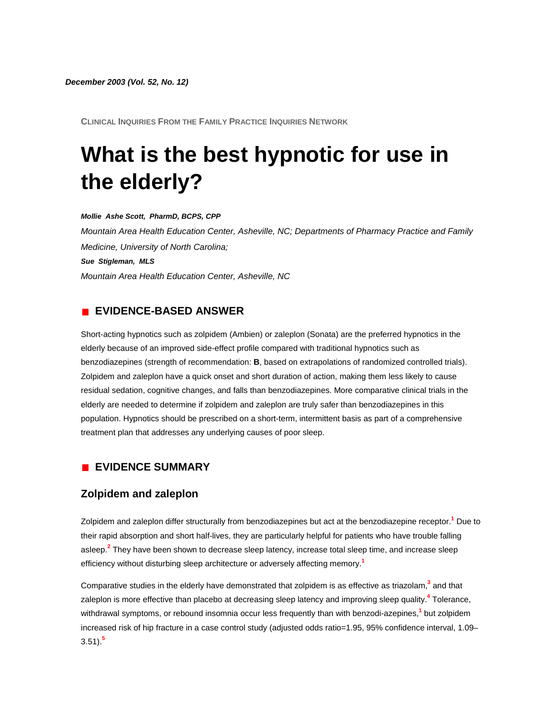*December 2003 (Vol. 52, No. 12)*

**CLINICAL INQUIRIES FROM THE FAMILY PRACTICE INQUIRIES NETWORK**

# **What is the best hypnotic for use in the elderly?**

#### *Mollie Ashe Scott, PharmD, BCPS, CPP*

*Mountain Area Health Education Center, Asheville, NC; Departments of Pharmacy Practice and Family Medicine, University of North Carolina; Sue Stigleman, MLS Mountain Area Health Education Center, Asheville, NC*

#### **EVIDENCE-BASED ANSWER**

Short-acting hypnotics such as zolpidem (Ambien) or zaleplon (Sonata) are the preferred hypnotics in the elderly because of an improved side-effect profile compared with traditional hypnotics such as benzodiazepines (strength of recommendation: **B**, based on extrapolations of randomized controlled trials). Zolpidem and zaleplon have a quick onset and short duration of action, making them less likely to cause residual sedation, cognitive changes, and falls than benzodiazepines. More comparative clinical trials in the elderly are needed to determine if zolpidem and zaleplon are truly safer than benzodiazepines in this population. Hypnotics should be prescribed on a short-term, intermittent basis as part of a comprehensive treatment plan that addresses any underlying causes of poor sleep.

### **EVIDENCE SUMMARY**

## **Zolpidem and zaleplon**

Zolpidem and zaleplon differ structurally from benzodiazepines but act at the benzodiazepine recepto[r.](http://www.jfponline.com/Pages.asp?AID=1599&issue=December_2003&UID=#bib1)**<sup>1</sup>** Due to their rapid absorption and short half-lives, they are particularly helpful for patients who have trouble falling asleep[.](http://www.jfponline.com/Pages.asp?AID=1599&issue=December_2003&UID=#bib2)**<sup>2</sup>** They have been shown to decrease sleep latency, increase total sleep time, and increase sleep efficiency without disturbing sleep architecture or adversely affecting memor[y.](http://www.jfponline.com/Pages.asp?AID=1599&issue=December_2003&UID=#bib1)**<sup>1</sup>**

Comparative studies in the elderly have demonstrated that zolpidem is as effective as triazola[m,](http://www.jfponline.com/Pages.asp?AID=1599&issue=December_2003&UID=#bib3)**<sup>3</sup>** and that zaleplon is more effective than placebo at decreasing sleep latency and improving sleep qualit[y.](http://www.jfponline.com/Pages.asp?AID=1599&issue=December_2003&UID=#bib4)**<sup>4</sup>** Tolerance, withdrawal symptoms, or rebound insomnia occur less frequently than with benzodi-azepine[s,](http://www.jfponline.com/Pages.asp?AID=1599&issue=December_2003&UID=#bib1)**<sup>1</sup>** but zolpidem increased risk of hip fracture in a case control study (adjusted odds ratio=1.95, 95% confidence interval, 1.09– 3.51)[.](http://www.jfponline.com/Pages.asp?AID=1599&issue=December_2003&UID=#bib5)**<sup>5</sup>**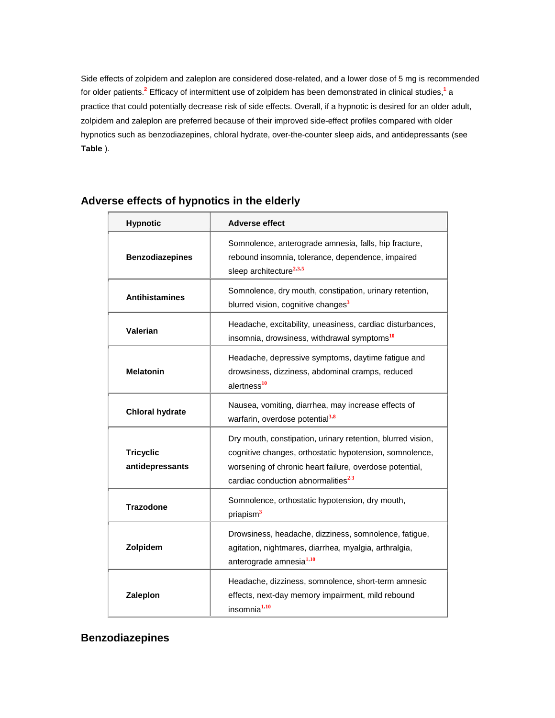Side effects of zolpidem and zaleplon are considered dose-related, and a lower dose of 5 mg is recommended for older patient[s.](http://www.jfponline.com/Pages.asp?AID=1599&issue=December_2003&UID=#bib2)**<sup>2</sup>** Efficacy of intermittent use of zolpidem has been demonstrated in clinical studie[s,](http://www.jfponline.com/Pages.asp?AID=1599&issue=December_2003&UID=#bib1)**<sup>1</sup>** a practice that could potentially decrease risk of side effects. Overall, if a hypnotic is desired for an older adult, zolpidem and zaleplon are preferred because of their improved side-effect profiles compared with older hypnotics such as benzodiazepines, chloral hydrate, over-the-counter sleep aids, and antidepressants (see **[Table](http://www.jfponline.com/Pages.asp?AID=1599&issue=December_2003&UID=#5212JFP_Clinicallnquiries3-tab1)** ).

| <b>Hypnotic</b>                     | <b>Adverse effect</b>                                                                                                                                                                                                                |
|-------------------------------------|--------------------------------------------------------------------------------------------------------------------------------------------------------------------------------------------------------------------------------------|
| <b>Benzodiazepines</b>              | Somnolence, anterograde amnesia, falls, hip fracture,<br>rebound insomnia, tolerance, dependence, impaired<br>sleep architecture <sup>2,3,5</sup>                                                                                    |
| <b>Antihistamines</b>               | Somnolence, dry mouth, constipation, urinary retention,<br>blurred vision, cognitive changes <sup>3</sup>                                                                                                                            |
| Valerian                            | Headache, excitability, uneasiness, cardiac disturbances,<br>insomnia, drowsiness, withdrawal symptoms <sup>10</sup>                                                                                                                 |
| <b>Melatonin</b>                    | Headache, depressive symptoms, daytime fatigue and<br>drowsiness, dizziness, abdominal cramps, reduced<br>alertness <sup>10</sup>                                                                                                    |
| <b>Chloral hydrate</b>              | Nausea, vomiting, diarrhea, may increase effects of<br>warfarin, overdose potential <sup>3,8</sup>                                                                                                                                   |
| <b>Tricyclic</b><br>antidepressants | Dry mouth, constipation, urinary retention, blurred vision,<br>cognitive changes, orthostatic hypotension, somnolence,<br>worsening of chronic heart failure, overdose potential,<br>cardiac conduction abnormalities <sup>2,3</sup> |
| <b>Trazodone</b>                    | Somnolence, orthostatic hypotension, dry mouth,<br>priapism <sup>3</sup>                                                                                                                                                             |
| Zolpidem                            | Drowsiness, headache, dizziness, somnolence, fatigue,<br>agitation, nightmares, diarrhea, myalgia, arthralgia,<br>anterograde amnesia <sup>1,10</sup>                                                                                |
| Zaleplon                            | Headache, dizziness, somnolence, short-term amnesic<br>effects, next-day memory impairment, mild rebound<br>insomnia <sup>1,10</sup>                                                                                                 |

# **Adverse effects of hypnotics in the elderly**

# **Benzodiazepines**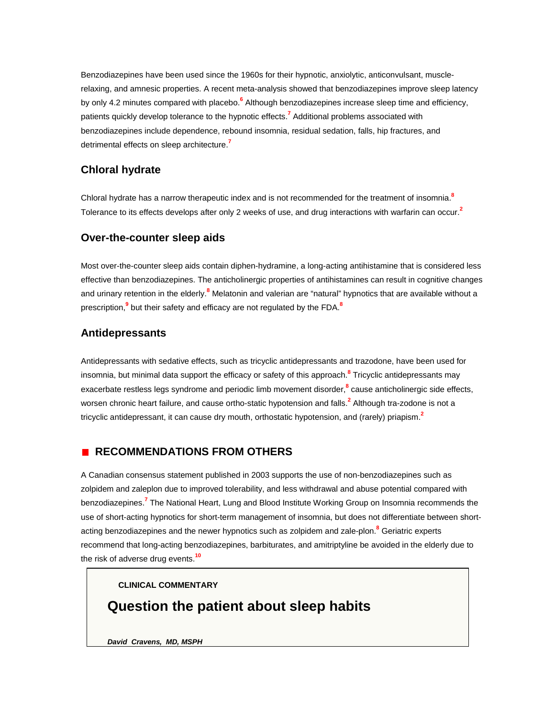Benzodiazepines have been used since the 1960s for their hypnotic, anxiolytic, anticonvulsant, musclerelaxing, and amnesic properties. A recent meta-analysis showed that benzodiazepines improve sleep latency by only 4.2 minutes compared with placeb[o.](http://www.jfponline.com/Pages.asp?AID=1599&issue=December_2003&UID=#bib6)**<sup>6</sup>** Although benzodiazepines increase sleep time and efficiency, patients quickly develop tolerance to the hypnotic effects[.](http://www.jfponline.com/Pages.asp?AID=1599&issue=December_2003&UID=#bib7)**<sup>7</sup>** Additional problems associated with benzodiazepines include dependence, rebound insomnia, residual sedation, falls, hip fractures, and detrimental effects on sleep architectur[e.](http://www.jfponline.com/Pages.asp?AID=1599&issue=December_2003&UID=#bib7)**<sup>7</sup>**

# **Chloral hydrate**

Chloral hydrate has a narrow therapeutic index and is not recommended for the treatment of insomni[a.](http://www.jfponline.com/Pages.asp?AID=1599&issue=December_2003&UID=#bib8)**<sup>8</sup>** Tolerance to its effects develops after only 2 weeks of use, and drug interactions with warfarin can occu[r.](http://www.jfponline.com/Pages.asp?AID=1599&issue=December_2003&UID=#bib2)**<sup>2</sup>**

### **Over-the-counter sleep aids**

Most over-the-counter sleep aids contain diphen-hydramine, a long-acting antihistamine that is considered less effective than benzodiazepines. The anticholinergic properties of antihistamines can result in cognitive changes and urinary retention in the elderl[y.](http://www.jfponline.com/Pages.asp?AID=1599&issue=December_2003&UID=#bib8)**<sup>8</sup>** Melatonin and valerian are "natural" hypnotics that are available without a prescriptio[n,](http://www.jfponline.com/Pages.asp?AID=1599&issue=December_2003&UID=#bib9)**<sup>9</sup>** but their safety and efficacy are not regulated by the FD[A.](http://www.jfponline.com/Pages.asp?AID=1599&issue=December_2003&UID=#bib8)**<sup>8</sup>**

# **Antidepressants**

Antidepressants with sedative effects, such as tricyclic antidepressants and trazodone, have been used for insomnia, but minimal data support the efficacy or safety of this approac[h.](http://www.jfponline.com/Pages.asp?AID=1599&issue=December_2003&UID=#bib8)**<sup>8</sup>** Tricyclic antidepressants may exacerbate restless legs syndrome and periodic limb movement disorde[r,](http://www.jfponline.com/Pages.asp?AID=1599&issue=December_2003&UID=#bib8)**<sup>8</sup>** cause anticholinergic side effects, worsen chronic heart failure, and cause ortho-static hypotension and fall[s.](http://www.jfponline.com/Pages.asp?AID=1599&issue=December_2003&UID=#bib2)**<sup>2</sup>** Although tra-zodone is not a tricyclic antidepressant, it can cause dry mouth, orthostatic hypotension, and (rarely) priapis[m.](http://www.jfponline.com/Pages.asp?AID=1599&issue=December_2003&UID=#bib2)**<sup>2</sup>**

# **RECOMMENDATIONS FROM OTHERS**

A Canadian consensus statement published in 2003 supports the use of non-benzodiazepines such as zolpidem and zaleplon due to improved tolerability, and less withdrawal and abuse potential compared with benzodiazepine[s.](http://www.jfponline.com/Pages.asp?AID=1599&issue=December_2003&UID=#bib7)**<sup>7</sup>** The National Heart, Lung and Blood Institute Working Group on Insomnia recommends the use of short-acting hypnotics for short-term management of insomnia, but does not differentiate between shortacting benzodiazepines and the newer hypnotics such as zolpidem and zale-plo[n.](http://www.jfponline.com/Pages.asp?AID=1599&issue=December_2003&UID=#bib8)**<sup>8</sup>** Geriatric experts recommend that long-acting benzodiazepines, barbiturates, and amitriptyline be avoided in the elderly due to the risk of adverse drug events.**[10](http://www.jfponline.com/Pages.asp?AID=1599&issue=December_2003&UID=#bib10)**

**CLINICAL COMMENTARY**

# **Question the patient about sleep habits**

*David Cravens, MD, MSPH*